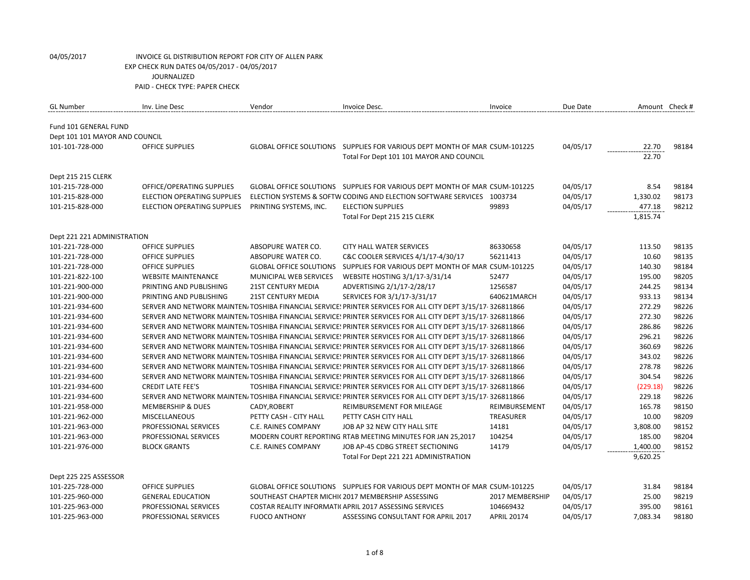| <b>GL Number</b>               | Inv. Line Desc               | Vendor                         | Invoice Desc.                                                                                               | Invoice            | Due Date | Amount Check # |       |
|--------------------------------|------------------------------|--------------------------------|-------------------------------------------------------------------------------------------------------------|--------------------|----------|----------------|-------|
|                                |                              |                                |                                                                                                             |                    |          |                |       |
| Fund 101 GENERAL FUND          |                              |                                |                                                                                                             |                    |          |                |       |
| Dept 101 101 MAYOR AND COUNCIL |                              |                                |                                                                                                             |                    |          |                |       |
| 101-101-728-000                | <b>OFFICE SUPPLIES</b>       |                                | GLOBAL OFFICE SOLUTIONS SUPPLIES FOR VARIOUS DEPT MONTH OF MAR CSUM-101225                                  |                    | 04/05/17 | 22.70          | 98184 |
|                                |                              |                                | Total For Dept 101 101 MAYOR AND COUNCIL                                                                    |                    |          | 22.70          |       |
|                                |                              |                                |                                                                                                             |                    |          |                |       |
| Dept 215 215 CLERK             |                              |                                |                                                                                                             |                    |          |                |       |
| 101-215-728-000                | OFFICE/OPERATING SUPPLIES    |                                | GLOBAL OFFICE SOLUTIONS SUPPLIES FOR VARIOUS DEPT MONTH OF MAR CSUM-101225                                  |                    | 04/05/17 | 8.54           | 98184 |
| 101-215-828-000                | ELECTION OPERATING SUPPLIES  |                                | ELECTION SYSTEMS & SOFTW CODING AND ELECTION SOFTWARE SERVICES 1003734                                      |                    | 04/05/17 | 1,330.02       | 98173 |
| 101-215-828-000                | ELECTION OPERATING SUPPLIES  | PRINTING SYSTEMS, INC.         | <b>ELECTION SUPPLIES</b>                                                                                    | 99893              | 04/05/17 | 477.18         | 98212 |
|                                |                              |                                | Total For Dept 215 215 CLERK                                                                                |                    |          | 1,815.74       |       |
| Dept 221 221 ADMINISTRATION    |                              |                                |                                                                                                             |                    |          |                |       |
| 101-221-728-000                | <b>OFFICE SUPPLIES</b>       | ABSOPURE WATER CO.             | <b>CITY HALL WATER SERVICES</b>                                                                             | 86330658           | 04/05/17 | 113.50         | 98135 |
| 101-221-728-000                | <b>OFFICE SUPPLIES</b>       | ABSOPURE WATER CO.             | C&C COOLER SERVICES 4/1/17-4/30/17                                                                          | 56211413           | 04/05/17 | 10.60          | 98135 |
| 101-221-728-000                | OFFICE SUPPLIES              | <b>GLOBAL OFFICE SOLUTIONS</b> | SUPPLIES FOR VARIOUS DEPT MONTH OF MAR CSUM-101225                                                          |                    | 04/05/17 | 140.30         | 98184 |
| 101-221-822-100                | <b>WEBSITE MAINTENANCE</b>   | MUNICIPAL WEB SERVICES         | WEBSITE HOSTING 3/1/17-3/31/14                                                                              | 52477              | 04/05/17 | 195.00         | 98205 |
| 101-221-900-000                | PRINTING AND PUBLISHING      | <b>21ST CENTURY MEDIA</b>      | ADVERTISING 2/1/17-2/28/17                                                                                  | 1256587            | 04/05/17 | 244.25         | 98134 |
| 101-221-900-000                | PRINTING AND PUBLISHING      | <b>21ST CENTURY MEDIA</b>      | SERVICES FOR 3/1/17-3/31/17                                                                                 | 640621MARCH        | 04/05/17 | 933.13         | 98134 |
| 101-221-934-600                |                              |                                | SERVER AND NETWORK MAINTEN/TOSHIBA FINANCIAL SERVICE: PRINTER SERVICES FOR ALL CITY DEPT 3/15/17-326811866  |                    | 04/05/17 | 272.29         | 98226 |
| 101-221-934-600                |                              |                                | SERVER AND NETWORK MAINTEN/TOSHIBA FINANCIAL SERVICE! PRINTER SERVICES FOR ALL CITY DEPT 3/15/17 326811866  |                    | 04/05/17 | 272.30         | 98226 |
| 101-221-934-600                |                              |                                | SERVER AND NETWORK MAINTEN/TOSHIBA FINANCIAL SERVICE: PRINTER SERVICES FOR ALL CITY DEPT 3/15/17-326811866  |                    | 04/05/17 | 286.86         | 98226 |
| 101-221-934-600                |                              |                                | SERVER AND NETWORK MAINTEN/TOSHIBA FINANCIAL SERVICE! PRINTER SERVICES FOR ALL CITY DEPT 3/15/17-326811866  |                    | 04/05/17 | 296.21         | 98226 |
| 101-221-934-600                |                              |                                | SERVER AND NETWORK MAINTEN/ TOSHIBA FINANCIAL SERVICE! PRINTER SERVICES FOR ALL CITY DEPT 3/15/17-326811866 |                    | 04/05/17 | 360.69         | 98226 |
| 101-221-934-600                |                              |                                | SERVER AND NETWORK MAINTEN/TOSHIBA FINANCIAL SERVICE! PRINTER SERVICES FOR ALL CITY DEPT 3/15/17-326811866  |                    | 04/05/17 | 343.02         | 98226 |
| 101-221-934-600                |                              |                                | SERVER AND NETWORK MAINTEN/TOSHIBA FINANCIAL SERVICE: PRINTER SERVICES FOR ALL CITY DEPT 3/15/17-326811866  |                    | 04/05/17 | 278.78         | 98226 |
| 101-221-934-600                |                              |                                | SERVER AND NETWORK MAINTEN/TOSHIBA FINANCIAL SERVICE! PRINTER SERVICES FOR ALL CITY DEPT 3/15/17 326811866  |                    | 04/05/17 | 304.54         | 98226 |
| 101-221-934-600                | <b>CREDIT LATE FEE'S</b>     |                                | TOSHIBA FINANCIAL SERVICE: PRINTER SERVICES FOR ALL CITY DEPT 3/15/17-326811866                             |                    | 04/05/17 | (229.18)       | 98226 |
| 101-221-934-600                |                              |                                | SERVER AND NETWORK MAINTEN/TOSHIBA FINANCIAL SERVICE! PRINTER SERVICES FOR ALL CITY DEPT 3/15/17 326811866  |                    | 04/05/17 | 229.18         | 98226 |
| 101-221-958-000                | <b>MEMBERSHIP &amp; DUES</b> | CADY, ROBERT                   | REIMBURSEMENT FOR MILEAGE                                                                                   | REIMBURSEMENT      | 04/05/17 | 165.78         | 98150 |
| 101-221-962-000                | <b>MISCELLANEOUS</b>         | PETTY CASH - CITY HALL         | PETTY CASH CITY HALL                                                                                        | <b>TREASURER</b>   | 04/05/17 | 10.00          | 98209 |
| 101-221-963-000                | PROFESSIONAL SERVICES        | C.E. RAINES COMPANY            | JOB AP 32 NEW CITY HALL SITE                                                                                | 14181              | 04/05/17 | 3,808.00       | 98152 |
| 101-221-963-000                | PROFESSIONAL SERVICES        |                                | MODERN COURT REPORTING RTAB MEETING MINUTES FOR JAN 25,2017                                                 | 104254             | 04/05/17 | 185.00         | 98204 |
| 101-221-976-000                | <b>BLOCK GRANTS</b>          | C.E. RAINES COMPANY            | JOB AP-45 CDBG STREET SECTIONING                                                                            | 14179              | 04/05/17 | 1,400.00       | 98152 |
|                                |                              |                                | Total For Dept 221 221 ADMINISTRATION                                                                       |                    |          | 9,620.25       |       |
|                                |                              |                                |                                                                                                             |                    |          |                |       |
| Dept 225 225 ASSESSOR          |                              |                                |                                                                                                             |                    |          |                |       |
| 101-225-728-000                | OFFICE SUPPLIES              |                                | GLOBAL OFFICE SOLUTIONS  SUPPLIES FOR VARIOUS DEPT MONTH OF MAR CSUM-101225                                 |                    | 04/05/17 | 31.84          | 98184 |
| 101-225-960-000                | <b>GENERAL EDUCATION</b>     |                                | SOUTHEAST CHAPTER MICHI(2017 MEMBERSHIP ASSESSING                                                           | 2017 MEMBERSHIP    | 04/05/17 | 25.00          | 98219 |
| 101-225-963-000                | PROFESSIONAL SERVICES        |                                | COSTAR REALITY INFORMATI(APRIL 2017 ASSESSING SERVICES                                                      | 104669432          | 04/05/17 | 395.00         | 98161 |
| 101-225-963-000                | PROFESSIONAL SERVICES        | <b>FUOCO ANTHONY</b>           | ASSESSING CONSULTANT FOR APRIL 2017                                                                         | <b>APRIL 20174</b> | 04/05/17 | 7,083.34       | 98180 |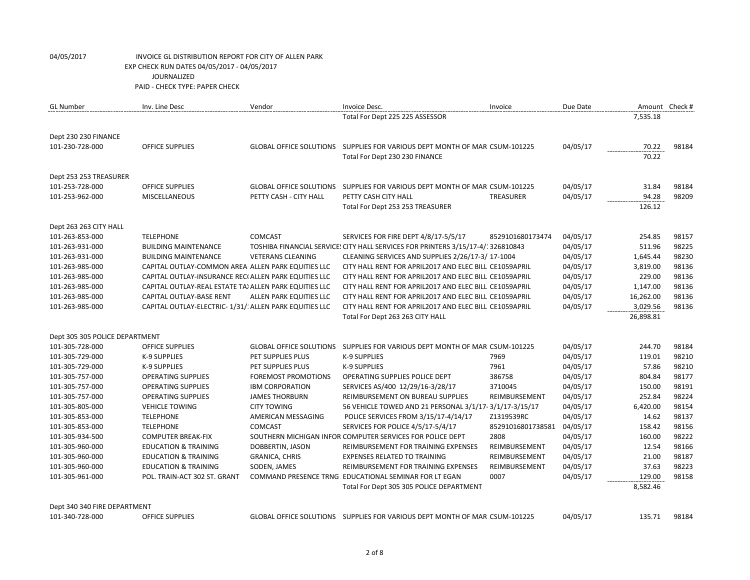| <b>GL Number</b>               | Inv. Line Desc                                          | Vendor                     | Invoice Desc.                                                                    | Invoice           | Due Date | Amount Check # |       |
|--------------------------------|---------------------------------------------------------|----------------------------|----------------------------------------------------------------------------------|-------------------|----------|----------------|-------|
|                                |                                                         |                            | Total For Dept 225 225 ASSESSOR                                                  |                   |          | 7,535.18       |       |
| Dept 230 230 FINANCE           |                                                         |                            |                                                                                  |                   |          |                |       |
| 101-230-728-000                | <b>OFFICE SUPPLIES</b>                                  |                            | GLOBAL OFFICE SOLUTIONS SUPPLIES FOR VARIOUS DEPT MONTH OF MAR CSUM-101225       |                   | 04/05/17 | 70.22          | 98184 |
|                                |                                                         |                            | Total For Dept 230 230 FINANCE                                                   |                   |          | 70.22          |       |
| Dept 253 253 TREASURER         |                                                         |                            |                                                                                  |                   |          |                |       |
| 101-253-728-000                | <b>OFFICE SUPPLIES</b>                                  |                            | GLOBAL OFFICE SOLUTIONS SUPPLIES FOR VARIOUS DEPT MONTH OF MAR CSUM-101225       |                   | 04/05/17 | 31.84          | 98184 |
| 101-253-962-000                | <b>MISCELLANEOUS</b>                                    | PETTY CASH - CITY HALL     | PETTY CASH CITY HALL                                                             | TREASURER         | 04/05/17 | 94.28          | 98209 |
|                                |                                                         |                            | Total For Dept 253 253 TREASURER                                                 |                   |          | 126.12         |       |
| Dept 263 263 CITY HALL         |                                                         |                            |                                                                                  |                   |          |                |       |
| 101-263-853-000                | <b>TELEPHONE</b>                                        | <b>COMCAST</b>             | SERVICES FOR FIRE DEPT 4/8/17-5/5/17                                             | 8529101680173474  | 04/05/17 | 254.85         | 98157 |
| 101-263-931-000                | <b>BUILDING MAINTENANCE</b>                             |                            | TOSHIBA FINANCIAL SERVICE: CITY HALL SERVICES FOR PRINTERS 3/15/17-4/: 326810843 |                   | 04/05/17 | 511.96         | 98225 |
| 101-263-931-000                | <b>BUILDING MAINTENANCE</b>                             | <b>VETERANS CLEANING</b>   | CLEANING SERVICES AND SUPPLIES 2/26/17-3/ 17-1004                                |                   | 04/05/17 | 1,645.44       | 98230 |
| 101-263-985-000                | CAPITAL OUTLAY-COMMON AREA ALLEN PARK EQUITIES LLC      |                            | CITY HALL RENT FOR APRIL2017 AND ELEC BILL CE1059APRIL                           |                   | 04/05/17 | 3,819.00       | 98136 |
| 101-263-985-000                | CAPITAL OUTLAY-INSURANCE REC( ALLEN PARK EQUITIES LLC   |                            | CITY HALL RENT FOR APRIL2017 AND ELEC BILL CE1059APRIL                           |                   | 04/05/17 | 229.00         | 98136 |
| 101-263-985-000                | CAPITAL OUTLAY-REAL ESTATE TA) ALLEN PARK EQUITIES LLC  |                            | CITY HALL RENT FOR APRIL2017 AND ELEC BILL CE1059APRIL                           |                   | 04/05/17 | 1,147.00       | 98136 |
| 101-263-985-000                | CAPITAL OUTLAY-BASE RENT                                | ALLEN PARK EQUITIES LLC    | CITY HALL RENT FOR APRIL2017 AND ELEC BILL CE1059APRIL                           |                   | 04/05/17 | 16,262.00      | 98136 |
| 101-263-985-000                | CAPITAL OUTLAY-ELECTRIC- 1/31/: ALLEN PARK EQUITIES LLC |                            | CITY HALL RENT FOR APRIL2017 AND ELEC BILL CE1059APRIL                           |                   | 04/05/17 | 3,029.56       | 98136 |
|                                |                                                         |                            | Total For Dept 263 263 CITY HALL                                                 |                   |          | 26,898.81      |       |
| Dept 305 305 POLICE DEPARTMENT |                                                         |                            |                                                                                  |                   |          |                |       |
| 101-305-728-000                | <b>OFFICE SUPPLIES</b>                                  |                            | GLOBAL OFFICE SOLUTIONS  SUPPLIES FOR VARIOUS DEPT MONTH OF MAR CSUM-101225      |                   | 04/05/17 | 244.70         | 98184 |
| 101-305-729-000                | <b>K-9 SUPPLIES</b>                                     | PET SUPPLIES PLUS          | <b>K-9 SUPPLIES</b>                                                              | 7969              | 04/05/17 | 119.01         | 98210 |
| 101-305-729-000                | K-9 SUPPLIES                                            | PET SUPPLIES PLUS          | <b>K-9 SUPPLIES</b>                                                              | 7961              | 04/05/17 | 57.86          | 98210 |
| 101-305-757-000                | <b>OPERATING SUPPLIES</b>                               | <b>FOREMOST PROMOTIONS</b> | OPERATING SUPPLIES POLICE DEPT                                                   | 386758            | 04/05/17 | 804.84         | 98177 |
| 101-305-757-000                | <b>OPERATING SUPPLIES</b>                               | <b>IBM CORPORATION</b>     | SERVICES AS/400 12/29/16-3/28/17                                                 | 3710045           | 04/05/17 | 150.00         | 98191 |
| 101-305-757-000                | <b>OPERATING SUPPLIES</b>                               | <b>JAMES THORBURN</b>      | REIMBURSEMENT ON BUREAU SUPPLIES                                                 | REIMBURSEMENT     | 04/05/17 | 252.84         | 98224 |
| 101-305-805-000                | <b>VEHICLE TOWING</b>                                   | <b>CITY TOWING</b>         | 56 VEHICLE TOWED AND 21 PERSONAL 3/1/17-3/1/17-3/15/17                           |                   | 04/05/17 | 6,420.00       | 98154 |
| 101-305-853-000                | <b>TELEPHONE</b>                                        | AMERICAN MESSAGING         | POLICE SERVICES FROM 3/15/17-4/14/17                                             | Z1319539RC        | 04/05/17 | 14.62          | 98137 |
| 101-305-853-000                | <b>TELEPHONE</b>                                        | <b>COMCAST</b>             | SERVICES FOR POLICE 4/5/17-5/4/17                                                | 85291016801738581 | 04/05/17 | 158.42         | 98156 |
| 101-305-934-500                | <b>COMPUTER BREAK-FIX</b>                               |                            | SOUTHERN MICHIGAN INFOR COMPUTER SERVICES FOR POLICE DEPT                        | 2808              | 04/05/17 | 160.00         | 98222 |
| 101-305-960-000                | <b>EDUCATION &amp; TRAINING</b>                         | DOBBERTIN, JASON           | REIMBURSEMENT FOR TRAINING EXPENSES                                              | REIMBURSEMENT     | 04/05/17 | 12.54          | 98166 |
| 101-305-960-000                | <b>EDUCATION &amp; TRAINING</b>                         | <b>GRANICA, CHRIS</b>      | <b>EXPENSES RELATED TO TRAINING</b>                                              | REIMBURSEMENT     | 04/05/17 | 21.00          | 98187 |
| 101-305-960-000                | <b>EDUCATION &amp; TRAINING</b>                         | SODEN, JAMES               | REIMBURSEMENT FOR TRAINING EXPENSES                                              | REIMBURSEMENT     | 04/05/17 | 37.63          | 98223 |
| 101-305-961-000                | POL. TRAIN-ACT 302 ST. GRANT                            |                            | COMMAND PRESENCE TRNG EDUCATIONAL SEMINAR FOR LT EGAN                            | 0007              | 04/05/17 | 129.00         | 98158 |
|                                |                                                         |                            | Total For Dept 305 305 POLICE DEPARTMENT                                         |                   |          | 8,582.46       |       |

Dept 340 340 FIRE DEPARTMENT

101-340-728-000 OFFICE SUPPLIES GLOBAL OFFICE SOLUTIONS SUPPLIES FOR VARIOUS DEPT MONTH OF MAR 2017 CSUM-101225 04/05/17 135.71 98184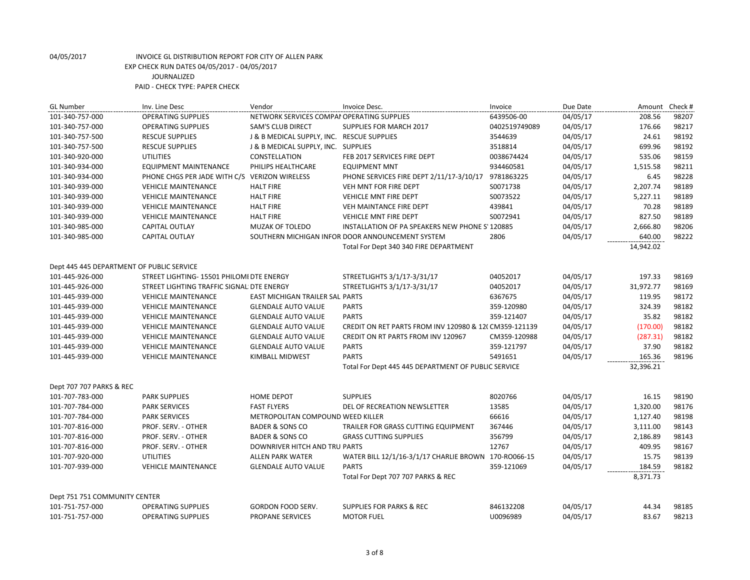| <b>GL Number</b>                            | Inv. Line Desc                               | Vendor                                     | Invoice Desc.                                         | Invoice       | Due Date             | Amount               | Check # |
|---------------------------------------------|----------------------------------------------|--------------------------------------------|-------------------------------------------------------|---------------|----------------------|----------------------|---------|
| 101-340-757-000                             | <b>OPERATING SUPPLIES</b>                    | NETWORK SERVICES COMPAI OPERATING SUPPLIES |                                                       | 6439506-00    | 04/05/17             | 208.56               | 98207   |
| 101-340-757-000                             | <b>OPERATING SUPPLIES</b>                    | <b>SAM'S CLUB DIRECT</b>                   | SUPPLIES FOR MARCH 2017                               | 0402519749089 | 04/05/17             | 176.66               | 98217   |
| 101-340-757-500                             | <b>RESCUE SUPPLIES</b>                       | J & B MEDICAL SUPPLY, INC. RESCUE SUPPLIES |                                                       | 3544639       | 04/05/17             | 24.61                | 98192   |
| 101-340-757-500                             | <b>RESCUE SUPPLIES</b>                       | J & B MEDICAL SUPPLY, INC. SUPPLIES        |                                                       | 3518814       | 04/05/17             | 699.96               | 98192   |
| 101-340-920-000                             | <b>UTILITIES</b>                             | CONSTELLATION                              | FEB 2017 SERVICES FIRE DEPT                           | 0038674424    | 04/05/17             | 535.06               | 98159   |
| 101-340-934-000                             | <b>EQUIPMENT MAINTENANCE</b>                 | PHILIPS HEALTHCARE                         | <b>EQUIPMENT MNT</b>                                  | 934460581     | 04/05/17             | 1,515.58             | 98211   |
| 101-340-934-000                             | PHONE CHGS PER JADE WITH C/S                 | <b>VERIZON WIRELESS</b>                    | PHONE SERVICES FIRE DEPT 2/11/17-3/10/17              | 9781863225    | 04/05/17             | 6.45                 | 98228   |
| 101-340-939-000                             | <b>VEHICLE MAINTENANCE</b>                   | <b>HALT FIRE</b>                           | VEH MNT FOR FIRE DEPT                                 | S0071738      | 04/05/17             | 2,207.74             | 98189   |
| 101-340-939-000                             | <b>VEHICLE MAINTENANCE</b>                   | <b>HALT FIRE</b>                           | <b>VEHICLE MNT FIRE DEPT</b>                          | S0073522      | 04/05/17             | 5,227.11             | 98189   |
| 101-340-939-000                             | <b>VEHICLE MAINTENANCE</b>                   | <b>HALT FIRE</b>                           | VEH MAINTANCE FIRE DEPT                               | 439841        | 04/05/17             | 70.28                | 98189   |
| 101-340-939-000                             | <b>VEHICLE MAINTENANCE</b>                   | <b>HALT FIRE</b>                           | VEHICLE MNT FIRE DEPT                                 | S0072941      | 04/05/17             | 827.50               | 98189   |
| 101-340-985-000                             | CAPITAL OUTLAY                               | MUZAK OF TOLEDO                            | INSTALLATION OF PA SPEAKERS NEW PHONE S' 120885       |               | 04/05/17             | 2,666.80             | 98206   |
| 101-340-985-000                             | CAPITAL OUTLAY                               |                                            | SOUTHERN MICHIGAN INFOR DOOR ANNOUNCEMENT SYSTEM      | 2806          | 04/05/17             | 640.00               | 98222   |
|                                             |                                              |                                            | Total For Dept 340 340 FIRE DEPARTMENT                |               |                      | 14,942.02            |         |
|                                             |                                              |                                            |                                                       |               |                      |                      |         |
| Dept 445 445 DEPARTMENT OF PUBLIC SERVICE   |                                              |                                            |                                                       |               |                      |                      |         |
| 101-445-926-000                             | STREET LIGHTING- 15501 PHILOMI DTE ENERGY    |                                            | STREETLIGHTS 3/1/17-3/31/17                           | 04052017      | 04/05/17             | 197.33               | 98169   |
| 101-445-926-000                             | STREET LIGHTING TRAFFIC SIGNAL DTE ENERGY    |                                            | STREETLIGHTS 3/1/17-3/31/17                           | 04052017      | 04/05/17             | 31,972.77            | 98169   |
| 101-445-939-000                             | <b>VEHICLE MAINTENANCE</b>                   | <b>EAST MICHIGAN TRAILER SAL PARTS</b>     |                                                       | 6367675       | 04/05/17             | 119.95               | 98172   |
| 101-445-939-000                             | <b>VEHICLE MAINTENANCE</b>                   | <b>GLENDALE AUTO VALUE</b>                 | <b>PARTS</b>                                          | 359-120980    | 04/05/17             | 324.39               | 98182   |
| 101-445-939-000                             | <b>VEHICLE MAINTENANCE</b>                   | <b>GLENDALE AUTO VALUE</b>                 | <b>PARTS</b>                                          | 359-121407    | 04/05/17             | 35.82                | 98182   |
| 101-445-939-000                             | <b>VEHICLE MAINTENANCE</b>                   | <b>GLENDALE AUTO VALUE</b>                 | CREDIT ON RET PARTS FROM INV 120980 & 12(CM359-121139 |               | 04/05/17             | (170.00)             | 98182   |
| 101-445-939-000                             | <b>VEHICLE MAINTENANCE</b>                   | <b>GLENDALE AUTO VALUE</b>                 | <b>CREDIT ON RT PARTS FROM INV 120967</b>             | CM359-120988  | 04/05/17             | (287.31)             | 98182   |
| 101-445-939-000                             | <b>VEHICLE MAINTENANCE</b>                   | <b>GLENDALE AUTO VALUE</b>                 | <b>PARTS</b>                                          | 359-121797    | 04/05/17             | 37.90                | 98182   |
| 101-445-939-000                             | <b>VEHICLE MAINTENANCE</b>                   | KIMBALL MIDWEST                            | <b>PARTS</b>                                          | 5491651       | 04/05/17             | 165.36               | 98196   |
|                                             |                                              |                                            | Total For Dept 445 445 DEPARTMENT OF PUBLIC SERVICE   |               |                      | 32,396.21            |         |
|                                             |                                              |                                            |                                                       |               |                      |                      |         |
| Dept 707 707 PARKS & REC<br>101-707-783-000 | <b>PARK SUPPLIES</b>                         | <b>HOME DEPOT</b>                          | <b>SUPPLIES</b>                                       | 8020766       | 04/05/17             | 16.15                | 98190   |
|                                             |                                              |                                            |                                                       | 13585         |                      |                      | 98176   |
| 101-707-784-000                             | <b>PARK SERVICES</b><br><b>PARK SERVICES</b> | <b>FAST FLYERS</b>                         | DEL OF RECREATION NEWSLETTER                          | 66616         | 04/05/17<br>04/05/17 | 1,320.00<br>1,127.40 | 98198   |
| 101-707-784-000                             |                                              | METROPOLITAN COMPOUND WEED KILLER          |                                                       |               |                      |                      |         |
| 101-707-816-000                             | PROF. SERV. - OTHER                          | <b>BADER &amp; SONS CO</b>                 | TRAILER FOR GRASS CUTTING EQUIPMENT                   | 367446        | 04/05/17             | 3,111.00             | 98143   |
| 101-707-816-000                             | PROF. SERV. - OTHER                          | <b>BADER &amp; SONS CO</b>                 | <b>GRASS CUTTING SUPPLIES</b>                         | 356799        | 04/05/17             | 2,186.89             | 98143   |
| 101-707-816-000                             | PROF. SERV. - OTHER                          | DOWNRIVER HITCH AND TRU PARTS              |                                                       | 12767         | 04/05/17             | 409.95               | 98167   |
| 101-707-920-000                             | <b>UTILITIES</b>                             | <b>ALLEN PARK WATER</b>                    | WATER BILL 12/1/16-3/1/17 CHARLIE BROWN 170-RO066-15  |               | 04/05/17             | 15.75                | 98139   |
| 101-707-939-000                             | <b>VEHICLE MAINTENANCE</b>                   | <b>GLENDALE AUTO VALUE</b>                 | <b>PARTS</b>                                          | 359-121069    | 04/05/17             | 184.59               | 98182   |
|                                             |                                              |                                            | Total For Dept 707 707 PARKS & REC                    |               |                      | 8,371.73             |         |
| Dept 751 751 COMMUNITY CENTER               |                                              |                                            |                                                       |               |                      |                      |         |
| 101-751-757-000                             | <b>OPERATING SUPPLIES</b>                    | GORDON FOOD SERV.                          | <b>SUPPLIES FOR PARKS &amp; REC</b>                   | 846132208     | 04/05/17             | 44.34                | 98185   |
| 101-751-757-000                             | <b>OPERATING SUPPLIES</b>                    | PROPANE SERVICES                           | <b>MOTOR FUEL</b>                                     | U0096989      | 04/05/17             | 83.67                | 98213   |
|                                             |                                              |                                            |                                                       |               |                      |                      |         |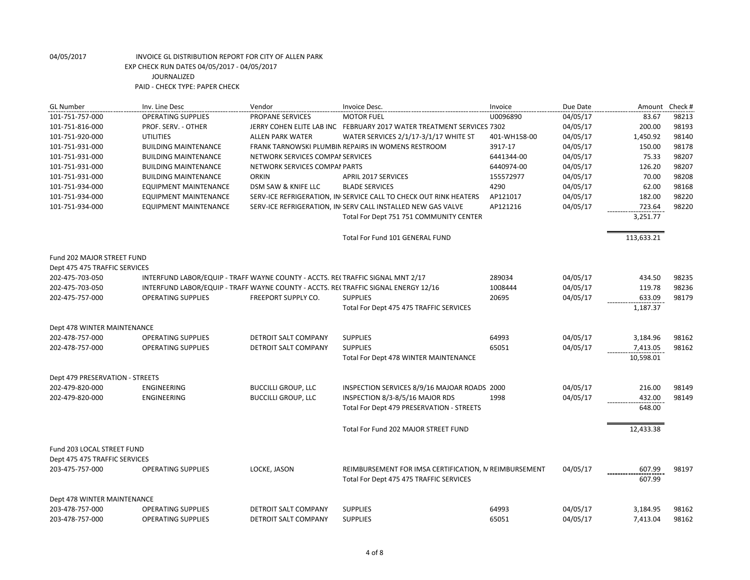| <b>GL Number</b>                | Inv. Line Desc                                                                 | Vendor                           | Invoice Desc.                                                                       | Invoice      | Due Date | Amount     | Check # |
|---------------------------------|--------------------------------------------------------------------------------|----------------------------------|-------------------------------------------------------------------------------------|--------------|----------|------------|---------|
| 101-751-757-000                 | <b>OPERATING SUPPLIES</b>                                                      | <b>PROPANE SERVICES</b>          | <b>MOTOR FUEL</b>                                                                   | U0096890     | 04/05/17 | 83.67      | 98213   |
| 101-751-816-000                 | PROF. SERV. - OTHER                                                            |                                  | JERRY COHEN ELITE LAB INC FEBRUARY 2017 WATER TREATMENT SERVICES 7302               |              | 04/05/17 | 200.00     | 98193   |
| 101-751-920-000                 | <b>UTILITIES</b>                                                               | ALLEN PARK WATER                 | WATER SERVICES 2/1/17-3/1/17 WHITE ST                                               | 401-WH158-00 | 04/05/17 | 1,450.92   | 98140   |
| 101-751-931-000                 | <b>BUILDING MAINTENANCE</b>                                                    |                                  | FRANK TARNOWSKI PLUMBIN REPAIRS IN WOMENS RESTROOM                                  | 3917-17      | 04/05/17 | 150.00     | 98178   |
| 101-751-931-000                 | <b>BUILDING MAINTENANCE</b>                                                    | NETWORK SERVICES COMPAI SERVICES |                                                                                     | 6441344-00   | 04/05/17 | 75.33      | 98207   |
| 101-751-931-000                 | <b>BUILDING MAINTENANCE</b>                                                    | NETWORK SERVICES COMPAI PARTS    |                                                                                     | 6440974-00   | 04/05/17 | 126.20     | 98207   |
| 101-751-931-000                 | <b>BUILDING MAINTENANCE</b>                                                    | <b>ORKIN</b>                     | <b>APRIL 2017 SERVICES</b>                                                          | 155572977    | 04/05/17 | 70.00      | 98208   |
| 101-751-934-000                 | <b>EQUIPMENT MAINTENANCE</b>                                                   | DSM SAW & KNIFE LLC              | <b>BLADE SERVICES</b>                                                               | 4290         | 04/05/17 | 62.00      | 98168   |
| 101-751-934-000                 | <b>EQUIPMENT MAINTENANCE</b>                                                   |                                  | SERV-ICE REFRIGERATION, IN SERVICE CALL TO CHECK OUT RINK HEATERS                   | AP121017     | 04/05/17 | 182.00     | 98220   |
| 101-751-934-000                 | <b>EQUIPMENT MAINTENANCE</b>                                                   |                                  | SERV-ICE REFRIGERATION, IN SERV CALL INSTALLED NEW GAS VALVE                        | AP121216     | 04/05/17 | 723.64     | 98220   |
|                                 |                                                                                |                                  | Total For Dept 751 751 COMMUNITY CENTER                                             |              |          | 3,251.77   |         |
|                                 |                                                                                |                                  | Total For Fund 101 GENERAL FUND                                                     |              |          | 113,633.21 |         |
| Fund 202 MAJOR STREET FUND      |                                                                                |                                  |                                                                                     |              |          |            |         |
| Dept 475 475 TRAFFIC SERVICES   |                                                                                |                                  |                                                                                     |              |          |            |         |
| 202-475-703-050                 | INTERFUND LABOR/EQUIP - TRAFF WAYNE COUNTY - ACCTS. RECTRAFFIC SIGNAL MNT 2/17 |                                  |                                                                                     | 289034       | 04/05/17 | 434.50     | 98235   |
| 202-475-703-050                 |                                                                                |                                  | INTERFUND LABOR/EQUIP - TRAFF WAYNE COUNTY - ACCTS. REI TRAFFIC SIGNAL ENERGY 12/16 | 1008444      | 04/05/17 | 119.78     | 98236   |
| 202-475-757-000                 | <b>OPERATING SUPPLIES</b>                                                      | <b>FREEPORT SUPPLY CO.</b>       | <b>SUPPLIES</b>                                                                     | 20695        | 04/05/17 | 633.09     | 98179   |
|                                 |                                                                                |                                  | Total For Dept 475 475 TRAFFIC SERVICES                                             |              |          | 1,187.37   |         |
| Dept 478 WINTER MAINTENANCE     |                                                                                |                                  |                                                                                     |              |          |            |         |
| 202-478-757-000                 | <b>OPERATING SUPPLIES</b>                                                      | DETROIT SALT COMPANY             | <b>SUPPLIES</b>                                                                     | 64993        | 04/05/17 | 3,184.96   | 98162   |
| 202-478-757-000                 | <b>OPERATING SUPPLIES</b>                                                      | <b>DETROIT SALT COMPANY</b>      | <b>SUPPLIES</b>                                                                     | 65051        | 04/05/17 | 7,413.05   | 98162   |
|                                 |                                                                                |                                  | Total For Dept 478 WINTER MAINTENANCE                                               |              |          | 10,598.01  |         |
| Dept 479 PRESERVATION - STREETS |                                                                                |                                  |                                                                                     |              |          |            |         |
| 202-479-820-000                 | <b>ENGINEERING</b>                                                             | <b>BUCCILLI GROUP, LLC</b>       | INSPECTION SERVICES 8/9/16 MAJOAR ROADS 2000                                        |              | 04/05/17 | 216.00     | 98149   |
| 202-479-820-000                 | <b>ENGINEERING</b>                                                             | <b>BUCCILLI GROUP, LLC</b>       | INSPECTION 8/3-8/5/16 MAJOR RDS                                                     | 1998         | 04/05/17 | 432.00     | 98149   |
|                                 |                                                                                |                                  | Total For Dept 479 PRESERVATION - STREETS                                           |              |          | 648.00     |         |
|                                 |                                                                                |                                  | Total For Fund 202 MAJOR STREET FUND                                                |              |          | 12,433.38  |         |
| Fund 203 LOCAL STREET FUND      |                                                                                |                                  |                                                                                     |              |          |            |         |
| Dept 475 475 TRAFFIC SERVICES   |                                                                                |                                  |                                                                                     |              |          |            |         |
| 203-475-757-000                 | <b>OPERATING SUPPLIES</b>                                                      | LOCKE, JASON                     | REIMBURSEMENT FOR IMSA CERTIFICATION, N REIMBURSEMENT                               |              | 04/05/17 | 607.99     | 98197   |
|                                 |                                                                                |                                  | Total For Dept 475 475 TRAFFIC SERVICES                                             |              |          | 607.99     |         |
| Dept 478 WINTER MAINTENANCE     |                                                                                |                                  |                                                                                     |              |          |            |         |
| 203-478-757-000                 | <b>OPERATING SUPPLIES</b>                                                      | DETROIT SALT COMPANY             | <b>SUPPLIES</b>                                                                     | 64993        | 04/05/17 | 3,184.95   | 98162   |
| 203-478-757-000                 | <b>OPERATING SUPPLIES</b>                                                      | DETROIT SALT COMPANY             | <b>SUPPLIES</b>                                                                     | 65051        | 04/05/17 | 7,413.04   | 98162   |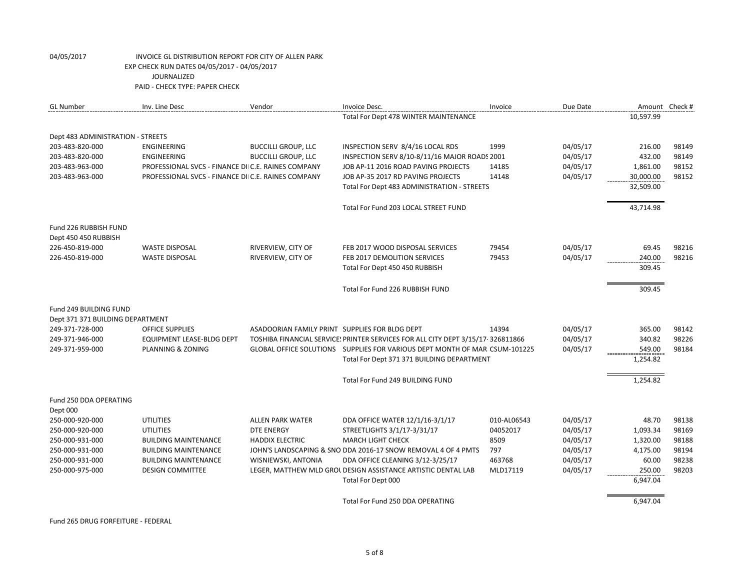| <b>GL Number</b>                  | Inv. Line Desc                                     | Vendor                                         | Invoice Desc.                                                                   | Invoice     | Due Date |           | Amount Check # |
|-----------------------------------|----------------------------------------------------|------------------------------------------------|---------------------------------------------------------------------------------|-------------|----------|-----------|----------------|
|                                   |                                                    |                                                | Total For Dept 478 WINTER MAINTENANCE                                           |             |          | 10,597.99 |                |
| Dept 483 ADMINISTRATION - STREETS |                                                    |                                                |                                                                                 |             |          |           |                |
| 203-483-820-000                   | ENGINEERING                                        | <b>BUCCILLI GROUP, LLC</b>                     | INSPECTION SERV 8/4/16 LOCAL RDS                                                | 1999        | 04/05/17 | 216.00    | 98149          |
| 203-483-820-000                   | ENGINEERING                                        | <b>BUCCILLI GROUP, LLC</b>                     | INSPECTION SERV 8/10-8/11/16 MAJOR ROADS 2001                                   |             | 04/05/17 | 432.00    | 98149          |
| 203-483-963-000                   | PROFESSIONAL SVCS - FINANCE DIIC.E. RAINES COMPANY |                                                | JOB AP-11 2016 ROAD PAVING PROJECTS                                             | 14185       | 04/05/17 | 1,861.00  | 98152          |
| 203-483-963-000                   | PROFESSIONAL SVCS - FINANCE DIIC.E. RAINES COMPANY |                                                | JOB AP-35 2017 RD PAVING PROJECTS                                               | 14148       | 04/05/17 | 30,000.00 | 98152          |
|                                   |                                                    |                                                | Total For Dept 483 ADMINISTRATION - STREETS                                     |             |          | 32,509.00 |                |
|                                   |                                                    |                                                | Total For Fund 203 LOCAL STREET FUND                                            |             |          | 43,714.98 |                |
| Fund 226 RUBBISH FUND             |                                                    |                                                |                                                                                 |             |          |           |                |
| Dept 450 450 RUBBISH              |                                                    |                                                |                                                                                 |             |          |           |                |
| 226-450-819-000                   | <b>WASTE DISPOSAL</b>                              | RIVERVIEW, CITY OF                             | FEB 2017 WOOD DISPOSAL SERVICES                                                 | 79454       | 04/05/17 | 69.45     | 98216          |
| 226-450-819-000                   | <b>WASTE DISPOSAL</b>                              | RIVERVIEW, CITY OF                             | FEB 2017 DEMOLITION SERVICES                                                    | 79453       | 04/05/17 | 240.00    | 98216          |
|                                   |                                                    |                                                | Total For Dept 450 450 RUBBISH                                                  |             |          | 309.45    |                |
|                                   |                                                    |                                                | Total For Fund 226 RUBBISH FUND                                                 |             |          | 309.45    |                |
| Fund 249 BUILDING FUND            |                                                    |                                                |                                                                                 |             |          |           |                |
| Dept 371 371 BUILDING DEPARTMENT  |                                                    |                                                |                                                                                 |             |          |           |                |
| 249-371-728-000                   | <b>OFFICE SUPPLIES</b>                             | ASADOORIAN FAMILY PRINT SUPPLIES FOR BLDG DEPT |                                                                                 | 14394       | 04/05/17 | 365.00    | 98142          |
| 249-371-946-000                   | EQUIPMENT LEASE-BLDG DEPT                          |                                                | TOSHIBA FINANCIAL SERVICE! PRINTER SERVICES FOR ALL CITY DEPT 3/15/17-326811866 |             | 04/05/17 | 340.82    | 98226          |
| 249-371-959-000                   | PLANNING & ZONING                                  |                                                | GLOBAL OFFICE SOLUTIONS SUPPLIES FOR VARIOUS DEPT MONTH OF MAR CSUM-101225      |             | 04/05/17 | 549.00    | 98184          |
|                                   |                                                    |                                                | Total For Dept 371 371 BUILDING DEPARTMENT                                      |             |          | 1,254.82  |                |
|                                   |                                                    |                                                | Total For Fund 249 BUILDING FUND                                                |             |          | 1,254.82  |                |
| Fund 250 DDA OPERATING            |                                                    |                                                |                                                                                 |             |          |           |                |
| Dept 000                          |                                                    |                                                |                                                                                 |             |          |           |                |
| 250-000-920-000                   | UTILITIES                                          | ALLEN PARK WATER                               | DDA OFFICE WATER 12/1/16-3/1/17                                                 | 010-AL06543 | 04/05/17 | 48.70     | 98138          |
| 250-000-920-000                   | <b>UTILITIES</b>                                   | <b>DTE ENERGY</b>                              | STREETLIGHTS 3/1/17-3/31/17                                                     | 04052017    | 04/05/17 | 1,093.34  | 98169          |
| 250-000-931-000                   | <b>BUILDING MAINTENANCE</b>                        | <b>HADDIX ELECTRIC</b>                         | <b>MARCH LIGHT CHECK</b>                                                        | 8509        | 04/05/17 | 1,320.00  | 98188          |
| 250-000-931-000                   | <b>BUILDING MAINTENANCE</b>                        |                                                | JOHN'S LANDSCAPING & SNO DDA 2016-17 SNOW REMOVAL 4 OF 4 PMTS                   | 797         | 04/05/17 | 4,175.00  | 98194          |
| 250-000-931-000                   | <b>BUILDING MAINTENANCE</b>                        | WISNIEWSKI, ANTONIA                            | DDA OFFICE CLEANING 3/12-3/25/17                                                | 463768      | 04/05/17 | 60.00     | 98238          |
| 250-000-975-000                   | <b>DESIGN COMMITTEE</b>                            |                                                | LEGER, MATTHEW MLD GROL DESIGN ASSISTANCE ARTISTIC DENTAL LAB                   | MLD17119    | 04/05/17 | 250.00    | 98203          |
|                                   |                                                    |                                                | Total For Dept 000                                                              |             |          | 6,947.04  |                |
|                                   |                                                    |                                                | Total For Fund 250 DDA OPERATING                                                |             |          | 6,947.04  |                |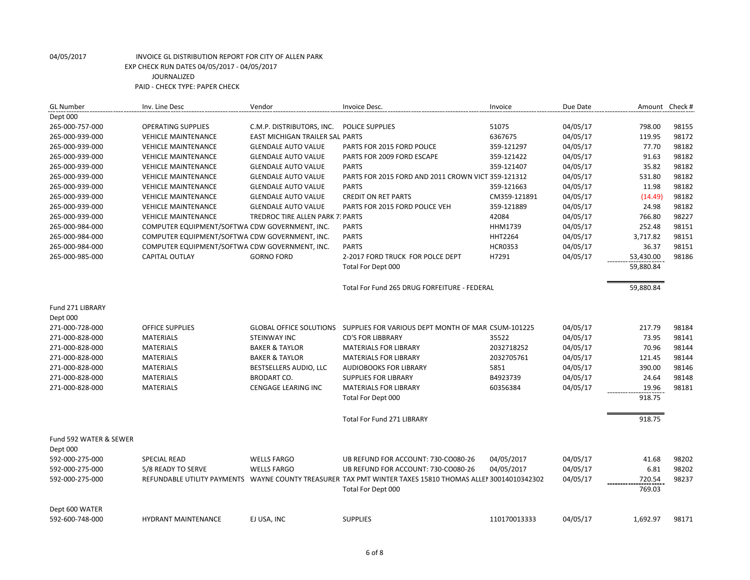| <b>GL Number</b>       | Inv. Line Desc                                 | Vendor                           | Invoice Desc.                                                                                             | Invoice        | Due Date | Amount Check # |       |
|------------------------|------------------------------------------------|----------------------------------|-----------------------------------------------------------------------------------------------------------|----------------|----------|----------------|-------|
| Dept 000               |                                                |                                  |                                                                                                           |                |          |                |       |
| 265-000-757-000        | <b>OPERATING SUPPLIES</b>                      | C.M.P. DISTRIBUTORS, INC.        | <b>POLICE SUPPLIES</b>                                                                                    | 51075          | 04/05/17 | 798.00         | 98155 |
| 265-000-939-000        | <b>VEHICLE MAINTENANCE</b>                     | EAST MICHIGAN TRAILER SAL PARTS  |                                                                                                           | 6367675        | 04/05/17 | 119.95         | 98172 |
| 265-000-939-000        | <b>VEHICLE MAINTENANCE</b>                     | <b>GLENDALE AUTO VALUE</b>       | PARTS FOR 2015 FORD POLICE                                                                                | 359-121297     | 04/05/17 | 77.70          | 98182 |
| 265-000-939-000        | <b>VEHICLE MAINTENANCE</b>                     | <b>GLENDALE AUTO VALUE</b>       | PARTS FOR 2009 FORD ESCAPE                                                                                | 359-121422     | 04/05/17 | 91.63          | 98182 |
| 265-000-939-000        | <b>VEHICLE MAINTENANCE</b>                     | <b>GLENDALE AUTO VALUE</b>       | <b>PARTS</b>                                                                                              | 359-121407     | 04/05/17 | 35.82          | 98182 |
| 265-000-939-000        | <b>VEHICLE MAINTENANCE</b>                     | <b>GLENDALE AUTO VALUE</b>       | PARTS FOR 2015 FORD AND 2011 CROWN VICT 359-121312                                                        |                | 04/05/17 | 531.80         | 98182 |
| 265-000-939-000        | <b>VEHICLE MAINTENANCE</b>                     | <b>GLENDALE AUTO VALUE</b>       | <b>PARTS</b>                                                                                              | 359-121663     | 04/05/17 | 11.98          | 98182 |
| 265-000-939-000        | <b>VEHICLE MAINTENANCE</b>                     | <b>GLENDALE AUTO VALUE</b>       | <b>CREDIT ON RET PARTS</b>                                                                                | CM359-121891   | 04/05/17 | (14.49)        | 98182 |
| 265-000-939-000        | <b>VEHICLE MAINTENANCE</b>                     | <b>GLENDALE AUTO VALUE</b>       | PARTS FOR 2015 FORD POLICE VEH                                                                            | 359-121889     | 04/05/17 | 24.98          | 98182 |
| 265-000-939-000        | <b>VEHICLE MAINTENANCE</b>                     | TREDROC TIRE ALLEN PARK 7: PARTS |                                                                                                           | 42084          | 04/05/17 | 766.80         | 98227 |
| 265-000-984-000        | COMPUTER EQUIPMENT/SOFTWA CDW GOVERNMENT, INC. |                                  | <b>PARTS</b>                                                                                              | HHM1739        | 04/05/17 | 252.48         | 98151 |
| 265-000-984-000        | COMPUTER EQUIPMENT/SOFTWA CDW GOVERNMENT, INC. |                                  | <b>PARTS</b>                                                                                              | <b>HHT2264</b> | 04/05/17 | 3,717.82       | 98151 |
| 265-000-984-000        | COMPUTER EQUIPMENT/SOFTWA CDW GOVERNMENT, INC. |                                  | <b>PARTS</b>                                                                                              | <b>HCR0353</b> | 04/05/17 | 36.37          | 98151 |
| 265-000-985-000        | <b>CAPITAL OUTLAY</b>                          | <b>GORNO FORD</b>                | 2-2017 FORD TRUCK FOR POLCE DEPT                                                                          | H7291          | 04/05/17 | 53,430.00      | 98186 |
|                        |                                                |                                  | Total For Dept 000                                                                                        |                |          | 59,880.84      |       |
|                        |                                                |                                  | Total For Fund 265 DRUG FORFEITURE - FEDERAL                                                              |                |          | 59,880.84      |       |
| Fund 271 LIBRARY       |                                                |                                  |                                                                                                           |                |          |                |       |
| Dept 000               |                                                |                                  |                                                                                                           |                |          |                |       |
| 271-000-728-000        | <b>OFFICE SUPPLIES</b>                         |                                  | GLOBAL OFFICE SOLUTIONS  SUPPLIES FOR VARIOUS DEPT MONTH OF MAR CSUM-101225                               |                | 04/05/17 | 217.79         | 98184 |
| 271-000-828-000        | <b>MATERIALS</b>                               | <b>STEINWAY INC</b>              | <b>CD'S FOR LIBBRARY</b>                                                                                  | 35522          | 04/05/17 | 73.95          | 98141 |
| 271-000-828-000        | <b>MATERIALS</b>                               | <b>BAKER &amp; TAYLOR</b>        | <b>MATERIALS FOR LIBRARY</b>                                                                              | 2032718252     | 04/05/17 | 70.96          | 98144 |
| 271-000-828-000        | <b>MATERIALS</b>                               | <b>BAKER &amp; TAYLOR</b>        | <b>MATERIALS FOR LIBRARY</b>                                                                              | 2032705761     | 04/05/17 | 121.45         | 98144 |
| 271-000-828-000        | <b>MATERIALS</b>                               | BESTSELLERS AUDIO, LLC           | AUDIOBOOKS FOR LIBRARY                                                                                    | 5851           | 04/05/17 | 390.00         | 98146 |
| 271-000-828-000        | <b>MATERIALS</b>                               | <b>BRODART CO.</b>               | <b>SUPPLIES FOR LIBRARY</b>                                                                               | B4923739       | 04/05/17 | 24.64          | 98148 |
| 271-000-828-000        | <b>MATERIALS</b>                               | CENGAGE LEARING INC              | <b>MATERIALS FOR LIBRARY</b>                                                                              | 60356384       | 04/05/17 | 19.96          | 98181 |
|                        |                                                |                                  | Total For Dept 000                                                                                        |                |          | 918.75         |       |
|                        |                                                |                                  | <b>Total For Fund 271 LIBRARY</b>                                                                         |                |          | 918.75         |       |
| Fund 592 WATER & SEWER |                                                |                                  |                                                                                                           |                |          |                |       |
| Dept 000               |                                                |                                  |                                                                                                           |                |          |                |       |
| 592-000-275-000        | <b>SPECIAL READ</b>                            | <b>WELLS FARGO</b>               | UB REFUND FOR ACCOUNT: 730-CO080-26                                                                       | 04/05/2017     | 04/05/17 | 41.68          | 98202 |
| 592-000-275-000        | 5/8 READY TO SERVE                             | <b>WELLS FARGO</b>               | UB REFUND FOR ACCOUNT: 730-CO080-26                                                                       | 04/05/2017     | 04/05/17 | 6.81           | 98202 |
| 592-000-275-000        |                                                |                                  | REFUNDABLE UTILITY PAYMENTS WAYNE COUNTY TREASURER TAX PMT WINTER TAXES 15810 THOMAS ALLER 30014010342302 |                | 04/05/17 | 720.54         | 98237 |
|                        |                                                |                                  | Total For Dept 000                                                                                        |                |          | 769.03         |       |
| Dept 600 WATER         |                                                |                                  |                                                                                                           |                |          |                |       |
| 592-600-748-000        | <b>HYDRANT MAINTENANCE</b>                     | EJ USA, INC                      | <b>SUPPLIES</b>                                                                                           | 110170013333   | 04/05/17 | 1,692.97       | 98171 |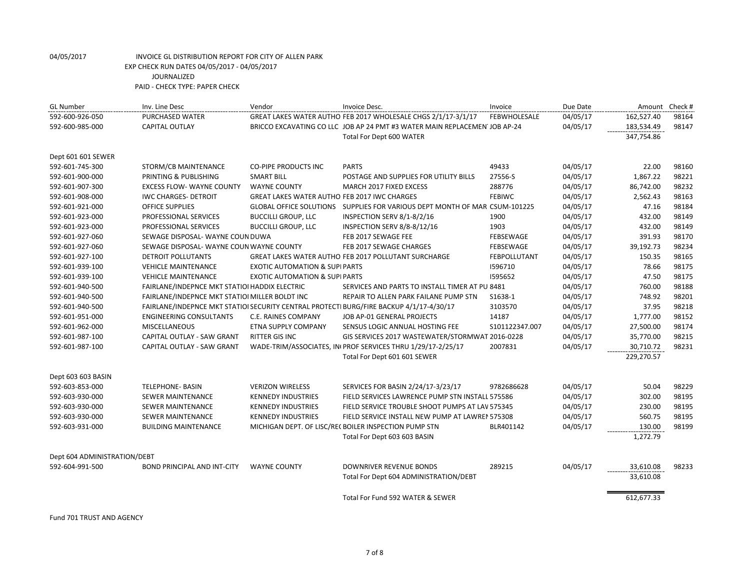| <b>GL Number</b>             | Inv. Line Desc                                 | Vendor                                              | Invoice Desc.                                                                           | Invoice             | Due Date | Amount     | Check # |
|------------------------------|------------------------------------------------|-----------------------------------------------------|-----------------------------------------------------------------------------------------|---------------------|----------|------------|---------|
| 592-600-926-050              | PURCHASED WATER                                |                                                     | GREAT LAKES WATER AUTHO FEB 2017 WHOLESALE CHGS 2/1/17-3/1/17                           | <b>FEBWHOLESALE</b> | 04/05/17 | 162,527.40 | 98164   |
| 592-600-985-000              | <b>CAPITAL OUTLAY</b>                          |                                                     | BRICCO EXCAVATING CO LLC JOB AP 24 PMT #3 WATER MAIN REPLACEMEN JOB AP-24               |                     | 04/05/17 | 183,534.49 | 98147   |
|                              |                                                |                                                     | Total For Dept 600 WATER                                                                |                     |          | 347,754.86 |         |
| Dept 601 601 SEWER           |                                                |                                                     |                                                                                         |                     |          |            |         |
| 592-601-745-300              | STORM/CB MAINTENANCE                           | <b>CO-PIPE PRODUCTS INC</b>                         | <b>PARTS</b>                                                                            | 49433               | 04/05/17 | 22.00      | 98160   |
| 592-601-900-000              | PRINTING & PUBLISHING                          | <b>SMART BILL</b>                                   | POSTAGE AND SUPPLIES FOR UTILITY BILLS                                                  | 27556-S             | 04/05/17 | 1,867.22   | 98221   |
| 592-601-907-300              | <b>EXCESS FLOW- WAYNE COUNTY</b>               | <b>WAYNE COUNTY</b>                                 | <b>MARCH 2017 FIXED EXCESS</b>                                                          | 288776              | 04/05/17 | 86,742.00  | 98232   |
| 592-601-908-000              | <b>IWC CHARGES- DETROIT</b>                    | <b>GREAT LAKES WATER AUTHO FEB 2017 IWC CHARGES</b> |                                                                                         | <b>FEBIWC</b>       | 04/05/17 | 2,562.43   | 98163   |
| 592-601-921-000              | <b>OFFICE SUPPLIES</b>                         | <b>GLOBAL OFFICE SOLUTIONS</b>                      | SUPPLIES FOR VARIOUS DEPT MONTH OF MAR CSUM-101225                                      |                     | 04/05/17 | 47.16      | 98184   |
| 592-601-923-000              | PROFESSIONAL SERVICES                          | <b>BUCCILLI GROUP, LLC</b>                          | INSPECTION SERV 8/1-8/2/16                                                              | 1900                | 04/05/17 | 432.00     | 98149   |
| 592-601-923-000              | PROFESSIONAL SERVICES                          | <b>BUCCILLI GROUP, LLC</b>                          | INSPECTION SERV 8/8-8/12/16                                                             | 1903                | 04/05/17 | 432.00     | 98149   |
| 592-601-927-060              | SEWAGE DISPOSAL- WAYNE COUN DUWA               |                                                     | FEB 2017 SEWAGE FEE                                                                     | FEBSEWAGE           | 04/05/17 | 391.93     | 98170   |
| 592-601-927-060              | SEWAGE DISPOSAL-WAYNE COUN WAYNE COUNTY        |                                                     | FEB 2017 SEWAGE CHARGES                                                                 | FEBSEWAGE           | 04/05/17 | 39,192.73  | 98234   |
| 592-601-927-100              | DETROIT POLLUTANTS                             |                                                     | GREAT LAKES WATER AUTHO FEB 2017 POLLUTANT SURCHARGE                                    | FEBPOLLUTANT        | 04/05/17 | 150.35     | 98165   |
| 592-601-939-100              | <b>VEHICLE MAINTENANCE</b>                     | <b>EXOTIC AUTOMATION &amp; SUPIPARTS</b>            |                                                                                         | 1596710             | 04/05/17 | 78.66      | 98175   |
| 592-601-939-100              | <b>VEHICLE MAINTENANCE</b>                     | <b>EXOTIC AUTOMATION &amp; SUPI PARTS</b>           |                                                                                         | 1595652             | 04/05/17 | 47.50      | 98175   |
| 592-601-940-500              | FAIRLANE/INDEPNCE MKT STATIOI HADDIX ELECTRIC  |                                                     | SERVICES AND PARTS TO INSTALL TIMER AT PU 8481                                          |                     | 04/05/17 | 760.00     | 98188   |
| 592-601-940-500              | FAIRLANE/INDEPNCE MKT STATIOI MILLER BOLDT INC |                                                     | REPAIR TO ALLEN PARK FAILANE PUMP STN                                                   | S1638-1             | 04/05/17 | 748.92     | 98201   |
| 592-601-940-500              |                                                |                                                     | FAIRLANE/INDEPNCE MKT STATIOI SECURITY CENTRAL PROTECTI BURG/FIRE BACKUP 4/1/17-4/30/17 | 3103570             | 04/05/17 | 37.95      | 98218   |
| 592-601-951-000              | <b>ENGINEERING CONSULTANTS</b>                 | C.E. RAINES COMPANY                                 | JOB AP-01 GENERAL PROJECTS                                                              | 14187               | 04/05/17 | 1,777.00   | 98152   |
| 592-601-962-000              | <b>MISCELLANEOUS</b>                           | ETNA SUPPLY COMPANY                                 | SENSUS LOGIC ANNUAL HOSTING FEE                                                         | S101122347.007      | 04/05/17 | 27,500.00  | 98174   |
| 592-601-987-100              | CAPITAL OUTLAY - SAW GRANT                     | <b>RITTER GIS INC</b>                               | GIS SERVICES 2017 WASTEWATER/STORMWAT 2016-0228                                         |                     | 04/05/17 | 35,770.00  | 98215   |
| 592-601-987-100              | CAPITAL OUTLAY - SAW GRANT                     |                                                     | WADE-TRIM/ASSOCIATES, INIPROF SERVICES THRU 1/29/17-2/25/17                             | 2007831             | 04/05/17 | 30,710.72  | 98231   |
|                              |                                                |                                                     | Total For Dept 601 601 SEWER                                                            |                     |          | 229,270.57 |         |
| Dept 603 603 BASIN           |                                                |                                                     |                                                                                         |                     |          |            |         |
| 592-603-853-000              | <b>TELEPHONE- BASIN</b>                        | <b>VERIZON WIRELESS</b>                             | SERVICES FOR BASIN 2/24/17-3/23/17                                                      | 9782686628          | 04/05/17 | 50.04      | 98229   |
| 592-603-930-000              | <b>SEWER MAINTENANCE</b>                       | <b>KENNEDY INDUSTRIES</b>                           | FIELD SERVICES LAWRENCE PUMP STN INSTALL 575586                                         |                     | 04/05/17 | 302.00     | 98195   |
| 592-603-930-000              | <b>SEWER MAINTENANCE</b>                       | <b>KENNEDY INDUSTRIES</b>                           | FIELD SERVICE TROUBLE SHOOT PUMPS AT LAV 575345                                         |                     | 04/05/17 | 230.00     | 98195   |
| 592-603-930-000              | <b>SEWER MAINTENANCE</b>                       | <b>KENNEDY INDUSTRIES</b>                           | FIELD SERVICE INSTALL NEW PUMP AT LAWREN 575308                                         |                     | 04/05/17 | 560.75     | 98195   |
| 592-603-931-000              | <b>BUILDING MAINTENANCE</b>                    |                                                     | MICHIGAN DEPT. OF LISC/REC BOILER INSPECTION PUMP STN                                   | BLR401142           | 04/05/17 | 130.00     | 98199   |
|                              |                                                |                                                     | Total For Dept 603 603 BASIN                                                            |                     |          | 1,272.79   |         |
| Dept 604 ADMINISTRATION/DEBT |                                                |                                                     |                                                                                         |                     |          |            |         |
| 592-604-991-500              | <b>BOND PRINCIPAL AND INT-CITY</b>             | <b>WAYNE COUNTY</b>                                 | <b>DOWNRIVER REVENUE BONDS</b>                                                          | 289215              | 04/05/17 | 33,610.08  | 98233   |
|                              |                                                |                                                     | Total For Dept 604 ADMINISTRATION/DEBT                                                  |                     |          | 33,610.08  |         |
|                              |                                                |                                                     | Total For Fund 592 WATER & SEWER                                                        |                     |          | 612,677.33 |         |

Fund 701 TRUST AND AGENCY